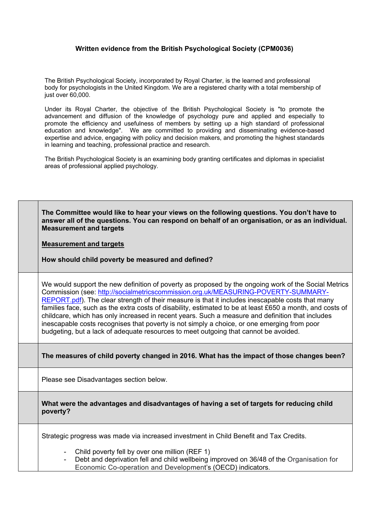## **Written evidence from the British Psychological Society (CPM0036)**

The British Psychological Society, incorporated by Royal Charter, is the learned and professional body for psychologists in the United Kingdom. We are a registered charity with a total membership of just over 60,000.

Under its Royal Charter, the objective of the British Psychological Society is "to promote the advancement and diffusion of the knowledge of psychology pure and applied and especially to promote the efficiency and usefulness of members by setting up a high standard of professional education and knowledge". We are committed to providing and disseminating evidence-based expertise and advice, engaging with policy and decision makers, and promoting the highest standards in learning and teaching, professional practice and research.

The British Psychological Society is an examining body granting certificates and diplomas in specialist areas of professional applied psychology.

| The Committee would like to hear your views on the following questions. You don't have to<br>answer all of the questions. You can respond on behalf of an organisation, or as an individual.<br><b>Measurement and targets</b>                                                                                                                                                                                                                                                                                                                                                                                                                                                                        |
|-------------------------------------------------------------------------------------------------------------------------------------------------------------------------------------------------------------------------------------------------------------------------------------------------------------------------------------------------------------------------------------------------------------------------------------------------------------------------------------------------------------------------------------------------------------------------------------------------------------------------------------------------------------------------------------------------------|
| <b>Measurement and targets</b>                                                                                                                                                                                                                                                                                                                                                                                                                                                                                                                                                                                                                                                                        |
| How should child poverty be measured and defined?                                                                                                                                                                                                                                                                                                                                                                                                                                                                                                                                                                                                                                                     |
| We would support the new definition of poverty as proposed by the ongoing work of the Social Metrics<br>Commission (see: http://socialmetricscommission.org.uk/MEASURING-POVERTY-SUMMARY-<br>REPORT.pdf). The clear strength of their measure is that it includes inescapable costs that many<br>families face, such as the extra costs of disability, estimated to be at least £650 a month, and costs of<br>childcare, which has only increased in recent years. Such a measure and definition that includes<br>inescapable costs recognises that poverty is not simply a choice, or one emerging from poor<br>budgeting, but a lack of adequate resources to meet outgoing that cannot be avoided. |
| The measures of child poverty changed in 2016. What has the impact of those changes been?                                                                                                                                                                                                                                                                                                                                                                                                                                                                                                                                                                                                             |
| Please see Disadvantages section below.                                                                                                                                                                                                                                                                                                                                                                                                                                                                                                                                                                                                                                                               |
| What were the advantages and disadvantages of having a set of targets for reducing child<br>poverty?                                                                                                                                                                                                                                                                                                                                                                                                                                                                                                                                                                                                  |
| Strategic progress was made via increased investment in Child Benefit and Tax Credits.                                                                                                                                                                                                                                                                                                                                                                                                                                                                                                                                                                                                                |
| - Child poverty fell by over one million (REF 1)<br>Debt and deprivation fell and child wellbeing improved on 36/48 of the Organisation for<br>Economic Co-operation and Development's (OECD) indicators.                                                                                                                                                                                                                                                                                                                                                                                                                                                                                             |
|                                                                                                                                                                                                                                                                                                                                                                                                                                                                                                                                                                                                                                                                                                       |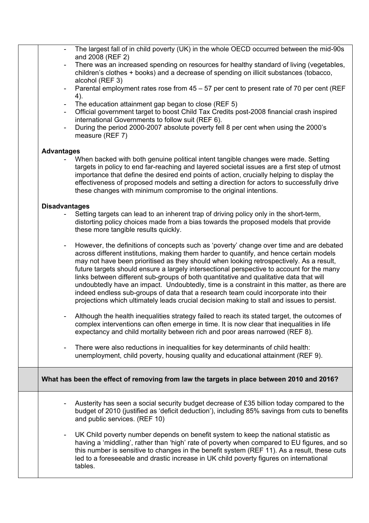|                          | The largest fall of in child poverty (UK) in the whole OECD occurred between the mid-90s<br>and 2008 (REF 2)                                                                                                                                                                                                                                                                                                                                                                                                                                                                                                                                                                                                                                            |
|--------------------------|---------------------------------------------------------------------------------------------------------------------------------------------------------------------------------------------------------------------------------------------------------------------------------------------------------------------------------------------------------------------------------------------------------------------------------------------------------------------------------------------------------------------------------------------------------------------------------------------------------------------------------------------------------------------------------------------------------------------------------------------------------|
| $\overline{\phantom{a}}$ | There was an increased spending on resources for healthy standard of living (vegetables,<br>children's clothes + books) and a decrease of spending on illicit substances (tobacco,<br>alcohol (REF 3)                                                                                                                                                                                                                                                                                                                                                                                                                                                                                                                                                   |
| $\blacksquare$           | Parental employment rates rose from 45 – 57 per cent to present rate of 70 per cent (REF                                                                                                                                                                                                                                                                                                                                                                                                                                                                                                                                                                                                                                                                |
|                          | 4).<br>The education attainment gap began to close (REF 5)                                                                                                                                                                                                                                                                                                                                                                                                                                                                                                                                                                                                                                                                                              |
|                          | Official government target to boost Child Tax Credits post-2008 financial crash inspired<br>international Governments to follow suit (REF 6).                                                                                                                                                                                                                                                                                                                                                                                                                                                                                                                                                                                                           |
|                          | During the period 2000-2007 absolute poverty fell 8 per cent when using the 2000's<br>measure (REF 7)                                                                                                                                                                                                                                                                                                                                                                                                                                                                                                                                                                                                                                                   |
| <b>Advantages</b>        |                                                                                                                                                                                                                                                                                                                                                                                                                                                                                                                                                                                                                                                                                                                                                         |
|                          | When backed with both genuine political intent tangible changes were made. Setting<br>targets in policy to end far-reaching and layered societal issues are a first step of utmost<br>importance that define the desired end points of action, crucially helping to display the<br>effectiveness of proposed models and setting a direction for actors to successfully drive<br>these changes with minimum compromise to the original intentions.                                                                                                                                                                                                                                                                                                       |
| <b>Disadvantages</b>     |                                                                                                                                                                                                                                                                                                                                                                                                                                                                                                                                                                                                                                                                                                                                                         |
|                          | Setting targets can lead to an inherent trap of driving policy only in the short-term,<br>distorting policy choices made from a bias towards the proposed models that provide<br>these more tangible results quickly.                                                                                                                                                                                                                                                                                                                                                                                                                                                                                                                                   |
| $\overline{\phantom{a}}$ | However, the definitions of concepts such as 'poverty' change over time and are debated<br>across different institutions, making them harder to quantify, and hence certain models<br>may not have been prioritised as they should when looking retrospectively. As a result,<br>future targets should ensure a largely intersectional perspective to account for the many<br>links between different sub-groups of both quantitative and qualitative data that will<br>undoubtedly have an impact. Undoubtedly, time is a constraint in this matter, as there are<br>indeed endless sub-groups of data that a research team could incorporate into their<br>projections which ultimately leads crucial decision making to stall and issues to persist. |
|                          | Although the health inequalities strategy failed to reach its stated target, the outcomes of<br>complex interventions can often emerge in time. It is now clear that inequalities in life<br>expectancy and child mortality between rich and poor areas narrowed (REF 8).                                                                                                                                                                                                                                                                                                                                                                                                                                                                               |
| ۰                        | There were also reductions in inequalities for key determinants of child health:<br>unemployment, child poverty, housing quality and educational attainment (REF 9).                                                                                                                                                                                                                                                                                                                                                                                                                                                                                                                                                                                    |
|                          | What has been the effect of removing from law the targets in place between 2010 and 2016?                                                                                                                                                                                                                                                                                                                                                                                                                                                                                                                                                                                                                                                               |
|                          | Austerity has seen a social security budget decrease of £35 billion today compared to the<br>budget of 2010 (justified as 'deficit deduction'), including 85% savings from cuts to benefits<br>and public services. (REF 10)                                                                                                                                                                                                                                                                                                                                                                                                                                                                                                                            |
| ۰                        | UK Child poverty number depends on benefit system to keep the national statistic as<br>having a 'middling', rather than 'high' rate of poverty when compared to EU figures, and so<br>this number is sensitive to changes in the benefit system (REF 11). As a result, these cuts<br>led to a foreseeable and drastic increase in UK child poverty figures on international<br>tables.                                                                                                                                                                                                                                                                                                                                                                  |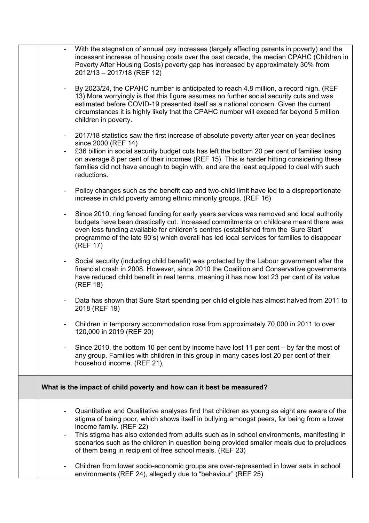|                          | With the stagnation of annual pay increases (largely affecting parents in poverty) and the<br>incessant increase of housing costs over the past decade, the median CPAHC (Children in<br>Poverty After Housing Costs) poverty gap has increased by approximately 30% from<br>2012/13 - 2017/18 (REF 12)                                                                                                                                                                    |
|--------------------------|----------------------------------------------------------------------------------------------------------------------------------------------------------------------------------------------------------------------------------------------------------------------------------------------------------------------------------------------------------------------------------------------------------------------------------------------------------------------------|
| $\blacksquare$           | By 2023/24, the CPAHC number is anticipated to reach 4.8 million, a record high. (REF<br>13) More worryingly is that this figure assumes no further social security cuts and was<br>estimated before COVID-19 presented itself as a national concern. Given the current<br>circumstances it is highly likely that the CPAHC number will exceed far beyond 5 million<br>children in poverty.                                                                                |
| $\sim$                   | 2017/18 statistics saw the first increase of absolute poverty after year on year declines<br>since 2000 (REF 14)<br>£36 billion in social security budget cuts has left the bottom 20 per cent of families losing<br>on average 8 per cent of their incomes (REF 15). This is harder hitting considering these<br>families did not have enough to begin with, and are the least equipped to deal with such<br>reductions.                                                  |
|                          | Policy changes such as the benefit cap and two-child limit have led to a disproportionate<br>increase in child poverty among ethnic minority groups. (REF 16)                                                                                                                                                                                                                                                                                                              |
| $\sim$                   | Since 2010, ring fenced funding for early years services was removed and local authority<br>budgets have been drastically cut. Increased commitments on childcare meant there was<br>even less funding available for children's centres (established from the 'Sure Start'<br>programme of the late 90's) which overall has led local services for families to disappear<br>(REF 17)                                                                                       |
|                          | Social security (including child benefit) was protected by the Labour government after the<br>financial crash in 2008. However, since 2010 the Coalition and Conservative governments<br>have reduced child benefit in real terms, meaning it has now lost 23 per cent of its value<br>(REF 18)                                                                                                                                                                            |
| $\overline{\phantom{a}}$ | Data has shown that Sure Start spending per child eligible has almost halved from 2011 to<br>2018 (REF 19)                                                                                                                                                                                                                                                                                                                                                                 |
|                          | Children in temporary accommodation rose from approximately 70,000 in 2011 to over<br>120,000 in 2019 (REF 20)                                                                                                                                                                                                                                                                                                                                                             |
| $\overline{\phantom{a}}$ | Since 2010, the bottom 10 per cent by income have lost 11 per cent – by far the most of<br>any group. Families with children in this group in many cases lost 20 per cent of their<br>household income. (REF 21),                                                                                                                                                                                                                                                          |
|                          | What is the impact of child poverty and how can it best be measured?                                                                                                                                                                                                                                                                                                                                                                                                       |
| $\overline{\phantom{a}}$ | Quantitative and Qualitative analyses find that children as young as eight are aware of the<br>stigma of being poor, which shows itself in bullying amongst peers, for being from a lower<br>income family. (REF 22)<br>This stigma has also extended from adults such as in school environments, manifesting in<br>scenarios such as the children in question being provided smaller meals due to prejudices<br>of them being in recipient of free school meals. (REF 23) |
| $\blacksquare$           | Children from lower socio-economic groups are over-represented in lower sets in school<br>environments (REF 24), allegedly due to "behaviour" (REF 25)                                                                                                                                                                                                                                                                                                                     |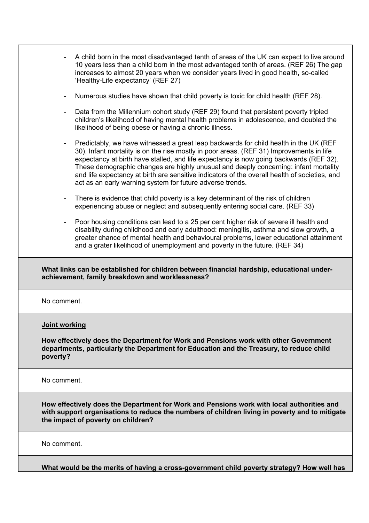| A child born in the most disadvantaged tenth of areas of the UK can expect to live around<br>10 years less than a child born in the most advantaged tenth of areas. (REF 26) The gap<br>increases to almost 20 years when we consider years lived in good health, so-called<br>'Healthy-Life expectancy' (REF 27)                                                                                                                                                                                                                  |
|------------------------------------------------------------------------------------------------------------------------------------------------------------------------------------------------------------------------------------------------------------------------------------------------------------------------------------------------------------------------------------------------------------------------------------------------------------------------------------------------------------------------------------|
| Numerous studies have shown that child poverty is toxic for child health (REF 28).                                                                                                                                                                                                                                                                                                                                                                                                                                                 |
| Data from the Millennium cohort study (REF 29) found that persistent poverty tripled<br>$\overline{\phantom{a}}$<br>children's likelihood of having mental health problems in adolescence, and doubled the<br>likelihood of being obese or having a chronic illness.                                                                                                                                                                                                                                                               |
| Predictably, we have witnessed a great leap backwards for child health in the UK (REF)<br>30). Infant mortality is on the rise mostly in poor areas. (REF 31) Improvements in life<br>expectancy at birth have stalled, and life expectancy is now going backwards (REF 32).<br>These demographic changes are highly unusual and deeply concerning: infant mortality<br>and life expectancy at birth are sensitive indicators of the overall health of societies, and<br>act as an early warning system for future adverse trends. |
| There is evidence that child poverty is a key determinant of the risk of children<br>experiencing abuse or neglect and subsequently entering social care. (REF 33)                                                                                                                                                                                                                                                                                                                                                                 |
| Poor housing conditions can lead to a 25 per cent higher risk of severe ill health and<br>disability during childhood and early adulthood: meningitis, asthma and slow growth, a<br>greater chance of mental health and behavioural problems, lower educational attainment<br>and a grater likelihood of unemployment and poverty in the future. (REF 34)                                                                                                                                                                          |
| What links can be established for children between financial hardship, educational under-<br>achievement, family breakdown and worklessness?                                                                                                                                                                                                                                                                                                                                                                                       |
| No comment.                                                                                                                                                                                                                                                                                                                                                                                                                                                                                                                        |
| Joint working<br>How effectively does the Department for Work and Pensions work with other Government<br>departments, particularly the Department for Education and the Treasury, to reduce child<br>poverty?                                                                                                                                                                                                                                                                                                                      |
| No comment.                                                                                                                                                                                                                                                                                                                                                                                                                                                                                                                        |
| How effectively does the Department for Work and Pensions work with local authorities and<br>with support organisations to reduce the numbers of children living in poverty and to mitigate<br>the impact of poverty on children?                                                                                                                                                                                                                                                                                                  |
| No comment.                                                                                                                                                                                                                                                                                                                                                                                                                                                                                                                        |
| What would be the merits of having a cross-government child poverty strategy? How well has                                                                                                                                                                                                                                                                                                                                                                                                                                         |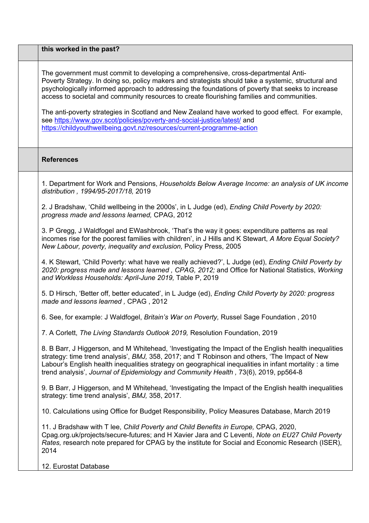| this worked in the past?                                                                                                                                                                                                                                                                                                                                                                                                                                                                                                                                                                                                                               |
|--------------------------------------------------------------------------------------------------------------------------------------------------------------------------------------------------------------------------------------------------------------------------------------------------------------------------------------------------------------------------------------------------------------------------------------------------------------------------------------------------------------------------------------------------------------------------------------------------------------------------------------------------------|
| The government must commit to developing a comprehensive, cross-departmental Anti-<br>Poverty Strategy. In doing so, policy makers and strategists should take a systemic, structural and<br>psychologically informed approach to addressing the foundations of poverty that seeks to increase<br>access to societal and community resources to create flourishing families and communities.<br>The anti-poverty strategies in Scotland and New Zealand have worked to good effect. For example,<br>see https://www.gov.scot/policies/poverty-and-social-justice/latest/ and<br>https://childyouthwellbeing.govt.nz/resources/current-programme-action |
| <b>References</b>                                                                                                                                                                                                                                                                                                                                                                                                                                                                                                                                                                                                                                      |
| 1. Department for Work and Pensions, Households Below Average Income: an analysis of UK income<br>distribution, 1994/95-2017/18, 2019                                                                                                                                                                                                                                                                                                                                                                                                                                                                                                                  |
| 2. J Bradshaw, 'Child wellbeing in the 2000s', in L Judge (ed), Ending Child Poverty by 2020:<br>progress made and lessons learned, CPAG, 2012                                                                                                                                                                                                                                                                                                                                                                                                                                                                                                         |
| 3. P Gregg, J Waldfogel and EWashbrook, 'That's the way it goes: expenditure patterns as real<br>incomes rise for the poorest families with children', in J Hills and K Stewart, A More Equal Society?<br>New Labour, poverty, inequality and exclusion, Policy Press, 2005                                                                                                                                                                                                                                                                                                                                                                            |
| 4. K Stewart, 'Child Poverty: what have we really achieved?', L Judge (ed), <i>Ending Child Poverty by</i><br>2020: progress made and lessons learned, CPAG, 2012; and Office for National Statistics, Working<br>and Workless Households: April-June 2019, Table P, 2019                                                                                                                                                                                                                                                                                                                                                                              |
| 5. D Hirsch, 'Better off, better educated', in L Judge (ed), Ending Child Poverty by 2020: progress<br>made and lessons learned, CPAG, 2012                                                                                                                                                                                                                                                                                                                                                                                                                                                                                                            |
| 6. See, for example: J Waldfogel, Britain's War on Poverty, Russel Sage Foundation, 2010                                                                                                                                                                                                                                                                                                                                                                                                                                                                                                                                                               |
| 7. A Corlett, The Living Standards Outlook 2019, Resolution Foundation, 2019                                                                                                                                                                                                                                                                                                                                                                                                                                                                                                                                                                           |
| 8. B Barr, J Higgerson, and M Whitehead, 'Investigating the Impact of the English health inequalities<br>strategy: time trend analysis', BMJ, 358, 2017; and T Robinson and others, 'The Impact of New<br>Labour's English health inequalities strategy on geographical inequalities in infant mortality : a time<br>trend analysis', Journal of Epidemiology and Community Health, 73(6), 2019, pp564-8                                                                                                                                                                                                                                               |
| 9. B Barr, J Higgerson, and M Whitehead, 'Investigating the Impact of the English health inequalities<br>strategy: time trend analysis', BMJ, 358, 2017.                                                                                                                                                                                                                                                                                                                                                                                                                                                                                               |
| 10. Calculations using Office for Budget Responsibility, Policy Measures Database, March 2019                                                                                                                                                                                                                                                                                                                                                                                                                                                                                                                                                          |
| 11. J Bradshaw with T lee, Child Poverty and Child Benefits in Europe, CPAG, 2020,<br>Cpag.org.uk/projects/secure-futures; and H Xavier Jara and C Leventi, Note on EU27 Child Poverty<br>Rates, research note prepared for CPAG by the institute for Social and Economic Research (ISER),<br>2014                                                                                                                                                                                                                                                                                                                                                     |
| 12. Eurostat Database                                                                                                                                                                                                                                                                                                                                                                                                                                                                                                                                                                                                                                  |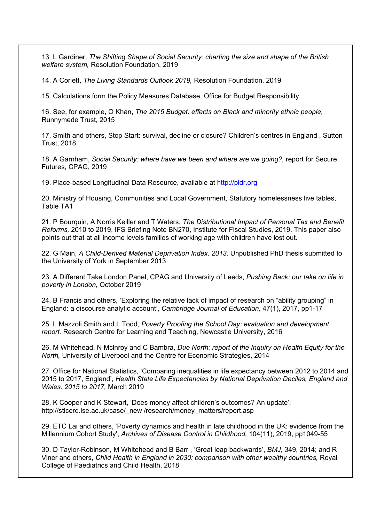13. L Gardiner, *The Shifting Shape of Social Security: charting the size and shape of the British welfare system,* Resolution Foundation, 2019

14. A Corlett, *The Living Standards Outlook 2019,* Resolution Foundation, 2019

15. Calculations form the Policy Measures Database, Office for Budget Responsibility

16. See, for example, O Khan, *The 2015 Budget: effects on Black and minority ethnic people,* Runnymede Trust, 2015

17. Smith and others, Stop Start: survival, decline or closure? Children's centres in England , Sutton Trust, 2018

18. A Garnham, *Social Security: where have we been and where are we going?,* report for Secure Futures, CPAG, 2019

19. Place-based Longitudinal Data Resource, available at [http://pldr.org](http://pldr.org/)

20. Ministry of Housing, Communities and Local Government, Statutory homelessness live tables, Table TA1

21. P Bourquin, A Norris Keiller and T Waters, *The Distributional Impact of Personal Tax and Benefit Reforms,* 2010 to 2019, IFS Briefing Note BN270, Institute for Fiscal Studies, 2019. This paper also points out that at all income levels families of working age with children have lost out.

22. G Main, *A Child-Derived Material Deprivation Index, 2013.* Unpublished PhD thesis submitted to the University of York in September 2013

23. A Different Take London Panel, CPAG and University of Leeds, *Pushing Back: our take on life in poverty in London,* October 2019

24. B Francis and others, 'Exploring the relative lack of impact of research on "ability grouping" in England: a discourse analytic account', *Cambridge Journal of Education,* 47(1), 2017, pp1-17

25. L Mazzoli Smith and L Todd, *Poverty Proofing the School Day: evaluation and development report,* Research Centre for Learning and Teaching, Newcastle University, 2016

26. M Whitehead, N Mclnroy and C Bambra, *Due North: report of the Inquiry on Health Equity for the North,* University of Liverpool and the Centre for Economic Strategies, 2014

27. Office for National Statistics, 'Comparing inequalities in life expectancy between 2012 to 2014 and 2015 to 2017, England', *Health State Life Expectancies by National Deprivation Deciles, England and Wales: 2015 to 2017,* March 2019

28. K Cooper and K Stewart, 'Does money affect children's outcomes? An update', http://sticerd.lse.ac.uk/case/\_new /research/money\_matters/report.asp

29. ETC Lai and others, 'Poverty dynamics and health in late childhood in the UK: evidence from the Millennium Cohort Study', *Archives of Disease Control in Childhood,* 104(11), 2019, pp1049-55

30. D Taylor-Robinson, M Whitehead and B Barr , 'Great leap backwards', *BMJ*, 349, 2014; and R Viner and others, *Child Health in England in 2030: comparison with other wealthy countries,* Royal College of Paediatrics and Child Health, 2018